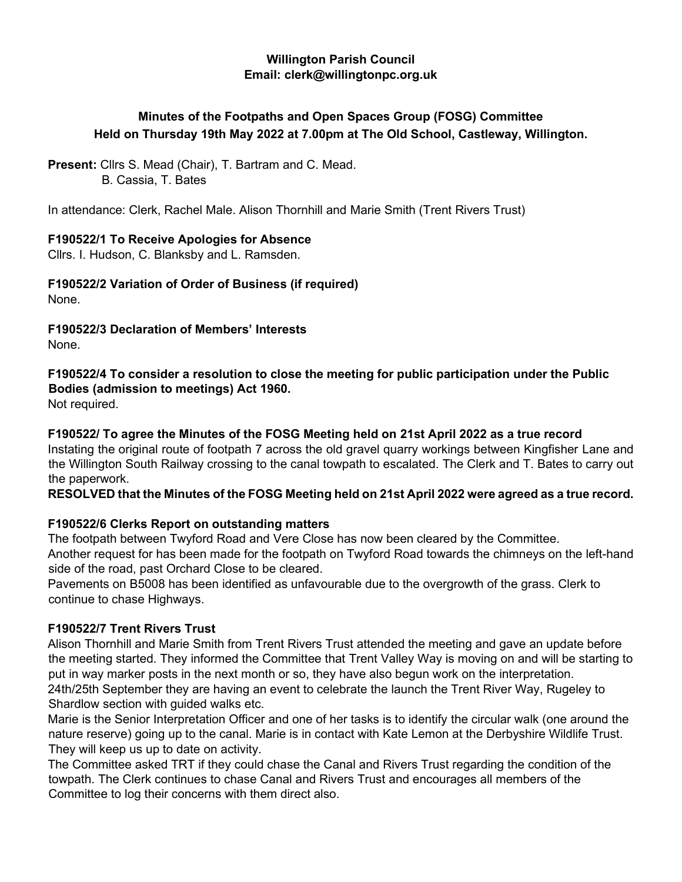#### **Willington Parish Council Email: clerk@willingtonpc.org.uk**

# **Minutes of the Footpaths and Open Spaces Group (FOSG) Committee Held on Thursday 19th May 2022 at 7.00pm at The Old School, Castleway, Willington.**

**Present:** Cllrs S. Mead (Chair), T. Bartram and C. Mead. B. Cassia, T. Bates

In attendance: Clerk, Rachel Male. Alison Thornhill and Marie Smith (Trent Rivers Trust)

# **F190522/1 To Receive Apologies for Absence**

Cllrs. I. Hudson, C. Blanksby and L. Ramsden.

**F190522/2 Variation of Order of Business (if required)** 

None.

**F190522/3 Declaration of Members' Interests**  None.

# **F190522/4 To consider a resolution to close the meeting for public participation under the Public Bodies (admission to meetings) Act 1960.**

Not required.

# **F190522/ To agree the Minutes of the FOSG Meeting held on 21st April 2022 as a true record**

Instating the original route of footpath 7 across the old gravel quarry workings between Kingfisher Lane and the Willington South Railway crossing to the canal towpath to escalated. The Clerk and T. Bates to carry out the paperwork.

# **RESOLVED that the Minutes of the FOSG Meeting held on 21st April 2022 were agreed as a true record.**

# **F190522/6 Clerks Report on outstanding matters**

The footpath between Twyford Road and Vere Close has now been cleared by the Committee.

Another request for has been made for the footpath on Twyford Road towards the chimneys on the left-hand side of the road, past Orchard Close to be cleared.

Pavements on B5008 has been identified as unfavourable due to the overgrowth of the grass. Clerk to continue to chase Highways.

# **F190522/7 Trent Rivers Trust**

Alison Thornhill and Marie Smith from Trent Rivers Trust attended the meeting and gave an update before the meeting started. They informed the Committee that Trent Valley Way is moving on and will be starting to put in way marker posts in the next month or so, they have also begun work on the interpretation. 24th/25th September they are having an event to celebrate the launch the Trent River Way, Rugeley to Shardlow section with guided walks etc.

Marie is the Senior Interpretation Officer and one of her tasks is to identify the circular walk (one around the nature reserve) going up to the canal. Marie is in contact with Kate Lemon at the Derbyshire Wildlife Trust. They will keep us up to date on activity.

The Committee asked TRT if they could chase the Canal and Rivers Trust regarding the condition of the towpath. The Clerk continues to chase Canal and Rivers Trust and encourages all members of the Committee to log their concerns with them direct also.